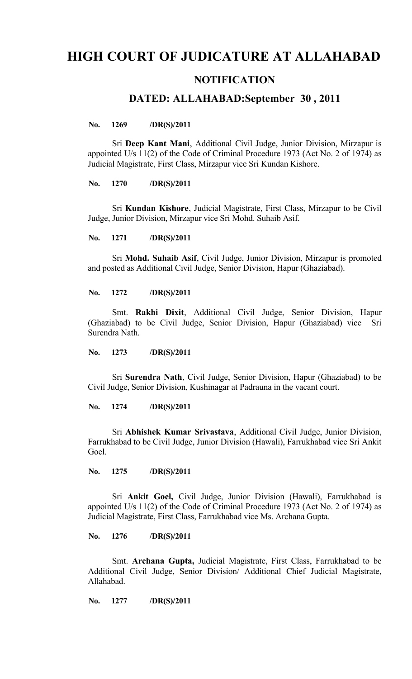# **HIGH COURT OF JUDICATURE AT ALLAHABAD**

## **NOTIFICATION**

## **DATED: ALLAHABAD:September 30 , 2011**

#### **No. 1269 /DR(S)/2011**

Sri **Deep Kant Mani**, Additional Civil Judge, Junior Division, Mirzapur is appointed U/s 11(2) of the Code of Criminal Procedure 1973 (Act No. 2 of 1974) as Judicial Magistrate, First Class, Mirzapur vice Sri Kundan Kishore.

**No. 1270 /DR(S)/2011**

Sri **Kundan Kishore**, Judicial Magistrate, First Class, Mirzapur to be Civil Judge, Junior Division, Mirzapur vice Sri Mohd. Suhaib Asif.

**No. 1271 /DR(S)/2011**

Sri **Mohd. Suhaib Asif**, Civil Judge, Junior Division, Mirzapur is promoted and posted as Additional Civil Judge, Senior Division, Hapur (Ghaziabad).

**No. 1272 /DR(S)/2011**

Smt. **Rakhi Dixit**, Additional Civil Judge, Senior Division, Hapur (Ghaziabad) to be Civil Judge, Senior Division, Hapur (Ghaziabad) vice Sri Surendra Nath.

**No. 1273 /DR(S)/2011**

Sri **Surendra Nath**, Civil Judge, Senior Division, Hapur (Ghaziabad) to be Civil Judge, Senior Division, Kushinagar at Padrauna in the vacant court.

**No. 1274 /DR(S)/2011**

Sri **Abhishek Kumar Srivastava**, Additional Civil Judge, Junior Division, Farrukhabad to be Civil Judge, Junior Division (Hawali), Farrukhabad vice Sri Ankit Goel.

**No. 1275 /DR(S)/2011**

Sri **Ankit Goel,** Civil Judge, Junior Division (Hawali), Farrukhabad is appointed U/s 11(2) of the Code of Criminal Procedure 1973 (Act No. 2 of 1974) as Judicial Magistrate, First Class, Farrukhabad vice Ms. Archana Gupta.

**No. 1276 /DR(S)/2011**

Smt. **Archana Gupta,** Judicial Magistrate, First Class, Farrukhabad to be Additional Civil Judge, Senior Division/ Additional Chief Judicial Magistrate, Allahabad.

**No. 1277 /DR(S)/2011**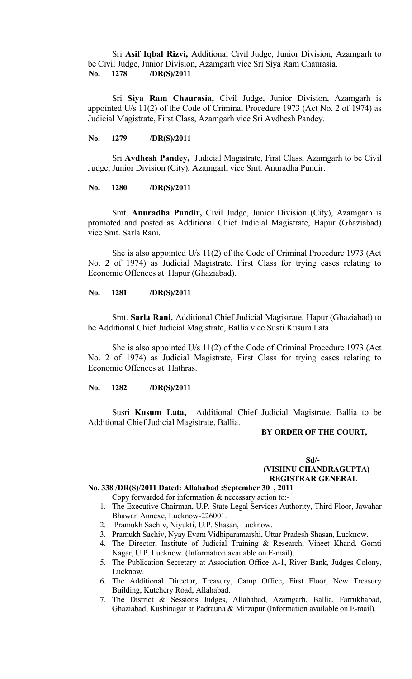Sri **Asif Iqbal Rizvi,** Additional Civil Judge, Junior Division, Azamgarh to be Civil Judge, Junior Division, Azamgarh vice Sri Siya Ram Chaurasia. **No. 1278 /DR(S)/2011**

Sri **Siya Ram Chaurasia,** Civil Judge, Junior Division, Azamgarh is appointed U/s 11(2) of the Code of Criminal Procedure 1973 (Act No. 2 of 1974) as Judicial Magistrate, First Class, Azamgarh vice Sri Avdhesh Pandey.

### **No. 1279 /DR(S)/2011**

Sri **Avdhesh Pandey,** Judicial Magistrate, First Class, Azamgarh to be Civil Judge, Junior Division (City), Azamgarh vice Smt. Anuradha Pundir.

#### **No. 1280 /DR(S)/2011**

Smt. **Anuradha Pundir,** Civil Judge, Junior Division (City), Azamgarh is promoted and posted as Additional Chief Judicial Magistrate, Hapur (Ghaziabad) vice Smt. Sarla Rani.

She is also appointed U/s 11(2) of the Code of Criminal Procedure 1973 (Act No. 2 of 1974) as Judicial Magistrate, First Class for trying cases relating to Economic Offences at Hapur (Ghaziabad).

#### **No. 1281 /DR(S)/2011**

Smt. **Sarla Rani,** Additional Chief Judicial Magistrate, Hapur (Ghaziabad) to be Additional Chief Judicial Magistrate, Ballia vice Susri Kusum Lata.

She is also appointed U/s 11(2) of the Code of Criminal Procedure 1973 (Act No. 2 of 1974) as Judicial Magistrate, First Class for trying cases relating to Economic Offences at Hathras.

#### **No. 1282 /DR(S)/2011**

Susri **Kusum Lata,** Additional Chief Judicial Magistrate, Ballia to be Additional Chief Judicial Magistrate, Ballia.

### **BY ORDER OF THE COURT,**

## **Sd/- (VISHNU CHANDRAGUPTA) REGISTRAR GENERAL**

### **No. 338 /DR(S)/2011 Dated: Allahabad :September 30 , 2011**

Copy forwarded for information & necessary action to:-

- 1. The Executive Chairman, U.P. State Legal Services Authority, Third Floor, Jawahar Bhawan Annexe, Lucknow-226001.
- 2. Pramukh Sachiv, Niyukti, U.P. Shasan, Lucknow.
- 3. Pramukh Sachiv, Nyay Evam Vidhiparamarshi, Uttar Pradesh Shasan, Lucknow.
- 4. The Director, Institute of Judicial Training & Research, Vineet Khand, Gomti Nagar, U.P. Lucknow. (Information available on E-mail).
- 5. The Publication Secretary at Association Office A-1, River Bank, Judges Colony, Lucknow.
- 6. The Additional Director, Treasury, Camp Office, First Floor, New Treasury Building, Kutchery Road, Allahabad.
- 7. The District & Sessions Judges, Allahabad, Azamgarh, Ballia, Farrukhabad, Ghaziabad, Kushinagar at Padrauna & Mirzapur (Information available on E-mail).